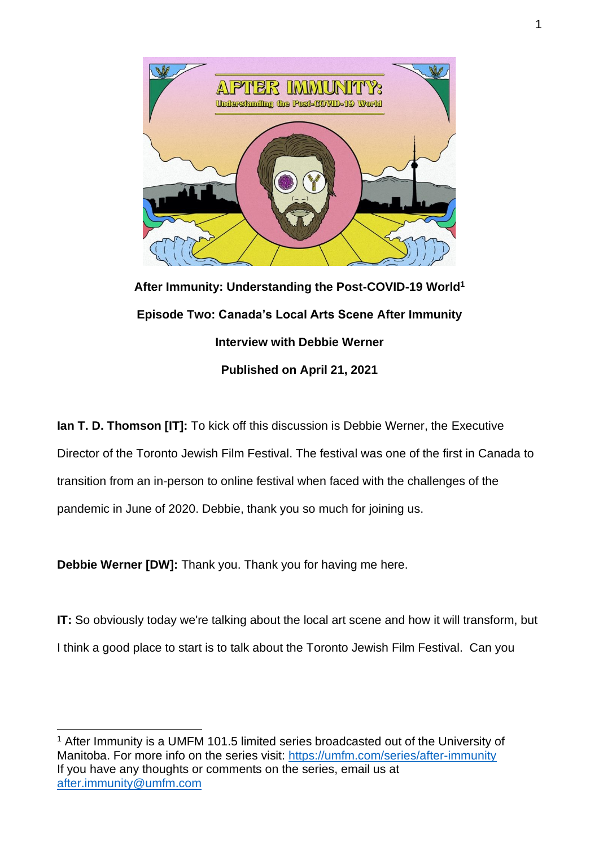

**After Immunity: Understanding the Post-COVID-19 World<sup>1</sup> Episode Two: Canada's Local Arts Scene After Immunity Interview with Debbie Werner Published on April 21, 2021**

**Ian T. D. Thomson [IT]:** To kick off this discussion is Debbie Werner, the Executive Director of the Toronto Jewish Film Festival. The festival was one of the first in Canada to transition from an in-person to online festival when faced with the challenges of the pandemic in June of 2020. Debbie, thank you so much for joining us.

**Debbie Werner [DW]:** Thank you. Thank you for having me here.

**IT:** So obviously today we're talking about the local art scene and how it will transform, but I think a good place to start is to talk about the Toronto Jewish Film Festival. Can you

<sup>1</sup> After Immunity is a UMFM 101.5 limited series broadcasted out of the University of Manitoba. For more info on the series visit:<https://umfm.com/series/after-immunity> If you have any thoughts or comments on the series, email us at [after.immunity@umfm.com](mailto:after.immunity@umfm.com)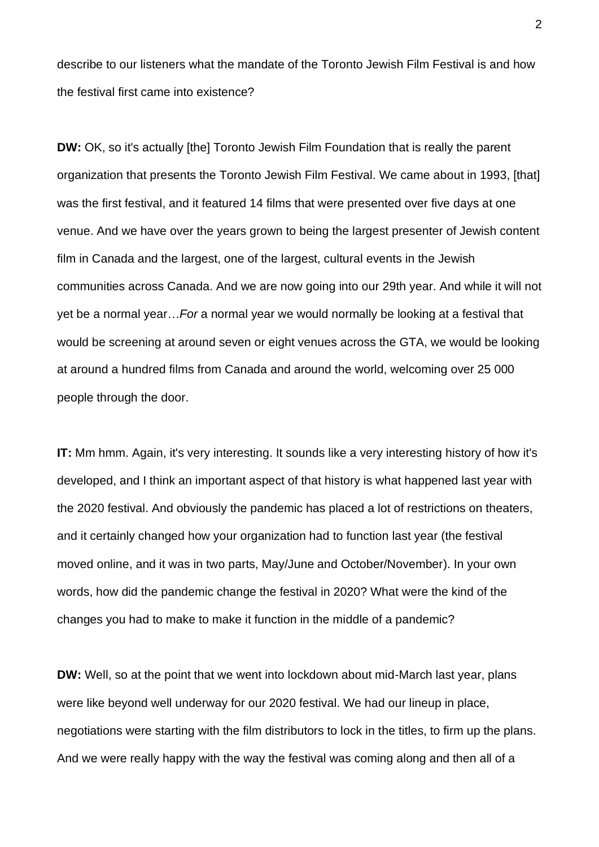describe to our listeners what the mandate of the Toronto Jewish Film Festival is and how the festival first came into existence?

**DW:** OK, so it's actually [the] Toronto Jewish Film Foundation that is really the parent organization that presents the Toronto Jewish Film Festival. We came about in 1993, [that] was the first festival, and it featured 14 films that were presented over five days at one venue. And we have over the years grown to being the largest presenter of Jewish content film in Canada and the largest, one of the largest, cultural events in the Jewish communities across Canada. And we are now going into our 29th year. And while it will not yet be a normal year…*For* a normal year we would normally be looking at a festival that would be screening at around seven or eight venues across the GTA, we would be looking at around a hundred films from Canada and around the world, welcoming over 25 000 people through the door.

**IT:** Mm hmm. Again, it's very interesting. It sounds like a very interesting history of how it's developed, and I think an important aspect of that history is what happened last year with the 2020 festival. And obviously the pandemic has placed a lot of restrictions on theaters, and it certainly changed how your organization had to function last year (the festival moved online, and it was in two parts, May/June and October/November). In your own words, how did the pandemic change the festival in 2020? What were the kind of the changes you had to make to make it function in the middle of a pandemic?

**DW:** Well, so at the point that we went into lockdown about mid-March last year, plans were like beyond well underway for our 2020 festival. We had our lineup in place, negotiations were starting with the film distributors to lock in the titles, to firm up the plans. And we were really happy with the way the festival was coming along and then all of a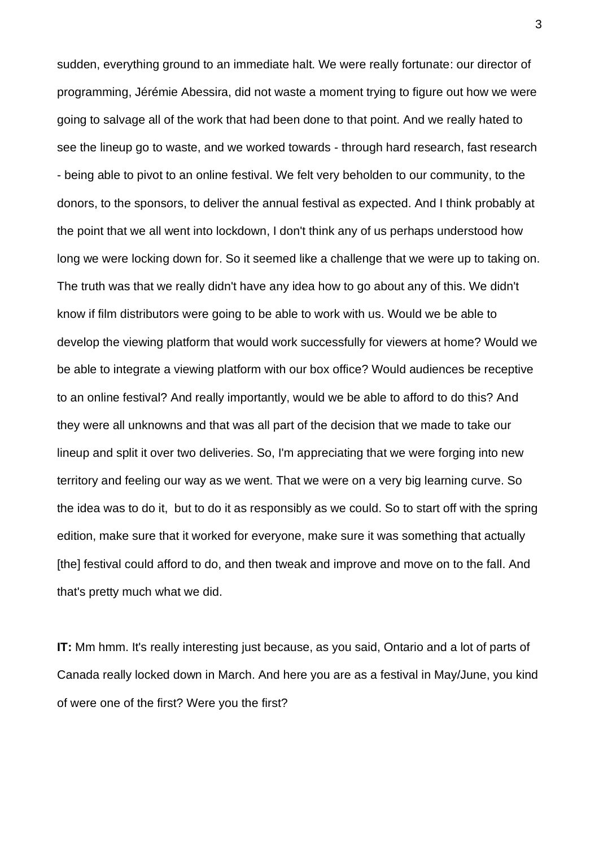sudden, everything ground to an immediate halt. We were really fortunate: our director of programming, Jérémie Abessira, did not waste a moment trying to figure out how we were going to salvage all of the work that had been done to that point. And we really hated to see the lineup go to waste, and we worked towards - through hard research, fast research - being able to pivot to an online festival. We felt very beholden to our community, to the donors, to the sponsors, to deliver the annual festival as expected. And I think probably at the point that we all went into lockdown, I don't think any of us perhaps understood how long we were locking down for. So it seemed like a challenge that we were up to taking on. The truth was that we really didn't have any idea how to go about any of this. We didn't know if film distributors were going to be able to work with us. Would we be able to develop the viewing platform that would work successfully for viewers at home? Would we be able to integrate a viewing platform with our box office? Would audiences be receptive to an online festival? And really importantly, would we be able to afford to do this? And they were all unknowns and that was all part of the decision that we made to take our lineup and split it over two deliveries. So, I'm appreciating that we were forging into new territory and feeling our way as we went. That we were on a very big learning curve. So the idea was to do it, but to do it as responsibly as we could. So to start off with the spring edition, make sure that it worked for everyone, make sure it was something that actually [the] festival could afford to do, and then tweak and improve and move on to the fall. And that's pretty much what we did.

**IT:** Mm hmm. It's really interesting just because, as you said, Ontario and a lot of parts of Canada really locked down in March. And here you are as a festival in May/June, you kind of were one of the first? Were you the first?

3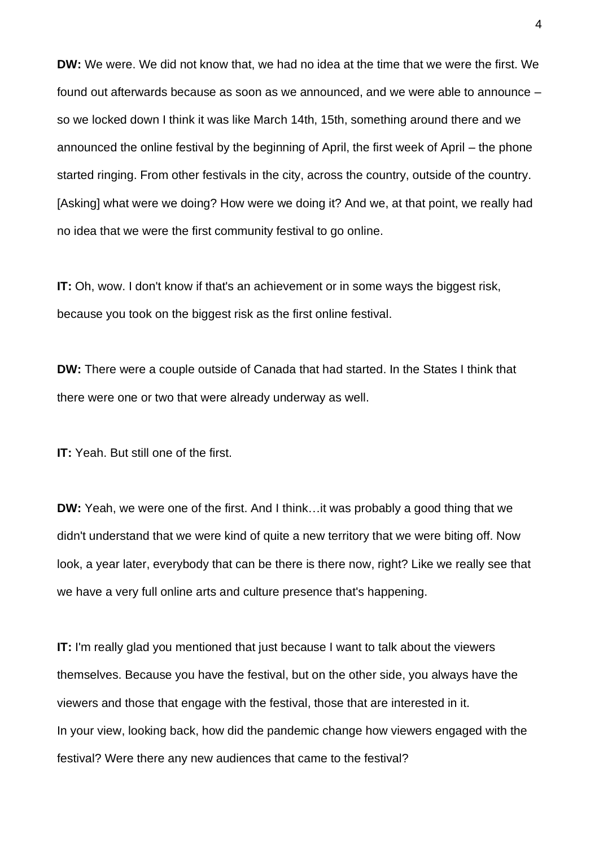**DW:** We were. We did not know that, we had no idea at the time that we were the first. We found out afterwards because as soon as we announced, and we were able to announce – so we locked down I think it was like March 14th, 15th, something around there and we announced the online festival by the beginning of April, the first week of April – the phone started ringing. From other festivals in the city, across the country, outside of the country. [Asking] what were we doing? How were we doing it? And we, at that point, we really had no idea that we were the first community festival to go online.

**IT:** Oh, wow. I don't know if that's an achievement or in some ways the biggest risk, because you took on the biggest risk as the first online festival.

**DW:** There were a couple outside of Canada that had started. In the States I think that there were one or two that were already underway as well.

**IT:** Yeah. But still one of the first.

**DW:** Yeah, we were one of the first. And I think…it was probably a good thing that we didn't understand that we were kind of quite a new territory that we were biting off. Now look, a year later, everybody that can be there is there now, right? Like we really see that we have a very full online arts and culture presence that's happening.

**IT:** I'm really glad you mentioned that just because I want to talk about the viewers themselves. Because you have the festival, but on the other side, you always have the viewers and those that engage with the festival, those that are interested in it. In your view, looking back, how did the pandemic change how viewers engaged with the festival? Were there any new audiences that came to the festival?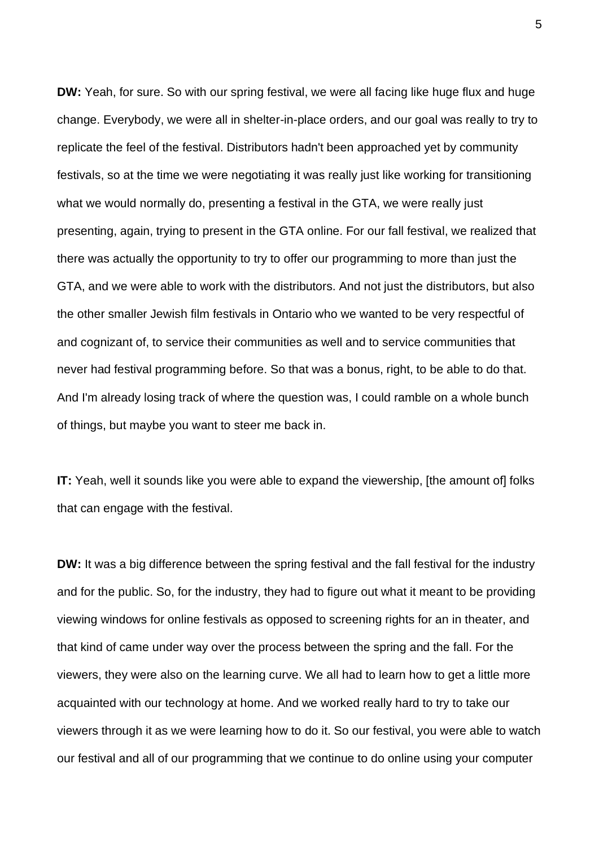**DW:** Yeah, for sure. So with our spring festival, we were all facing like huge flux and huge change. Everybody, we were all in shelter-in-place orders, and our goal was really to try to replicate the feel of the festival. Distributors hadn't been approached yet by community festivals, so at the time we were negotiating it was really just like working for transitioning what we would normally do, presenting a festival in the GTA, we were really just presenting, again, trying to present in the GTA online. For our fall festival, we realized that there was actually the opportunity to try to offer our programming to more than just the GTA, and we were able to work with the distributors. And not just the distributors, but also the other smaller Jewish film festivals in Ontario who we wanted to be very respectful of and cognizant of, to service their communities as well and to service communities that never had festival programming before. So that was a bonus, right, to be able to do that. And I'm already losing track of where the question was, I could ramble on a whole bunch of things, but maybe you want to steer me back in.

**IT:** Yeah, well it sounds like you were able to expand the viewership, [the amount of] folks that can engage with the festival.

**DW:** It was a big difference between the spring festival and the fall festival for the industry and for the public. So, for the industry, they had to figure out what it meant to be providing viewing windows for online festivals as opposed to screening rights for an in theater, and that kind of came under way over the process between the spring and the fall. For the viewers, they were also on the learning curve. We all had to learn how to get a little more acquainted with our technology at home. And we worked really hard to try to take our viewers through it as we were learning how to do it. So our festival, you were able to watch our festival and all of our programming that we continue to do online using your computer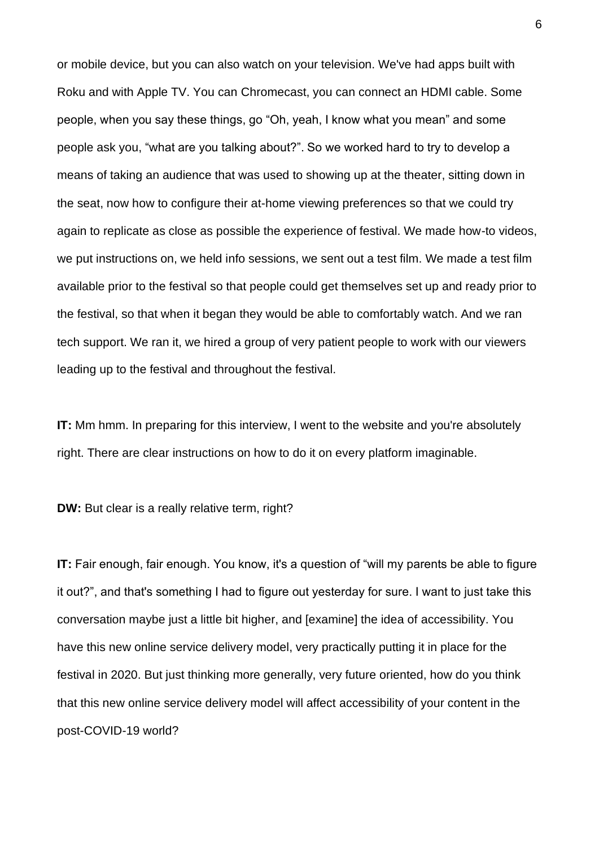or mobile device, but you can also watch on your television. We've had apps built with Roku and with Apple TV. You can Chromecast, you can connect an HDMI cable. Some people, when you say these things, go "Oh, yeah, I know what you mean" and some people ask you, "what are you talking about?". So we worked hard to try to develop a means of taking an audience that was used to showing up at the theater, sitting down in the seat, now how to configure their at-home viewing preferences so that we could try again to replicate as close as possible the experience of festival. We made how-to videos, we put instructions on, we held info sessions, we sent out a test film. We made a test film available prior to the festival so that people could get themselves set up and ready prior to the festival, so that when it began they would be able to comfortably watch. And we ran tech support. We ran it, we hired a group of very patient people to work with our viewers leading up to the festival and throughout the festival.

**IT:** Mm hmm. In preparing for this interview, I went to the website and you're absolutely right. There are clear instructions on how to do it on every platform imaginable.

**DW:** But clear is a really relative term, right?

**IT:** Fair enough, fair enough. You know, it's a question of "will my parents be able to figure it out?", and that's something I had to figure out yesterday for sure. I want to just take this conversation maybe just a little bit higher, and [examine] the idea of accessibility. You have this new online service delivery model, very practically putting it in place for the festival in 2020. But just thinking more generally, very future oriented, how do you think that this new online service delivery model will affect accessibility of your content in the post-COVID-19 world?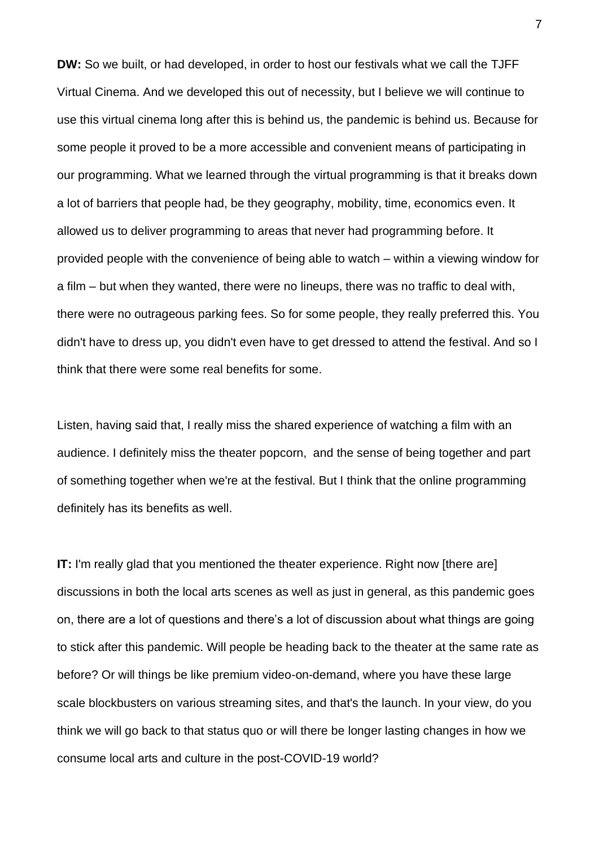**DW:** So we built, or had developed, in order to host our festivals what we call the TJFF Virtual Cinema. And we developed this out of necessity, but I believe we will continue to use this virtual cinema long after this is behind us, the pandemic is behind us. Because for some people it proved to be a more accessible and convenient means of participating in our programming. What we learned through the virtual programming is that it breaks down a lot of barriers that people had, be they geography, mobility, time, economics even. It allowed us to deliver programming to areas that never had programming before. It provided people with the convenience of being able to watch – within a viewing window for a film – but when they wanted, there were no lineups, there was no traffic to deal with, there were no outrageous parking fees. So for some people, they really preferred this. You didn't have to dress up, you didn't even have to get dressed to attend the festival. And so I think that there were some real benefits for some.

Listen, having said that, I really miss the shared experience of watching a film with an audience. I definitely miss the theater popcorn, and the sense of being together and part of something together when we're at the festival. But I think that the online programming definitely has its benefits as well.

**IT:** I'm really glad that you mentioned the theater experience. Right now [there are] discussions in both the local arts scenes as well as just in general, as this pandemic goes on, there are a lot of questions and there's a lot of discussion about what things are going to stick after this pandemic. Will people be heading back to the theater at the same rate as before? Or will things be like premium video-on-demand, where you have these large scale blockbusters on various streaming sites, and that's the launch. In your view, do you think we will go back to that status quo or will there be longer lasting changes in how we consume local arts and culture in the post-COVID-19 world?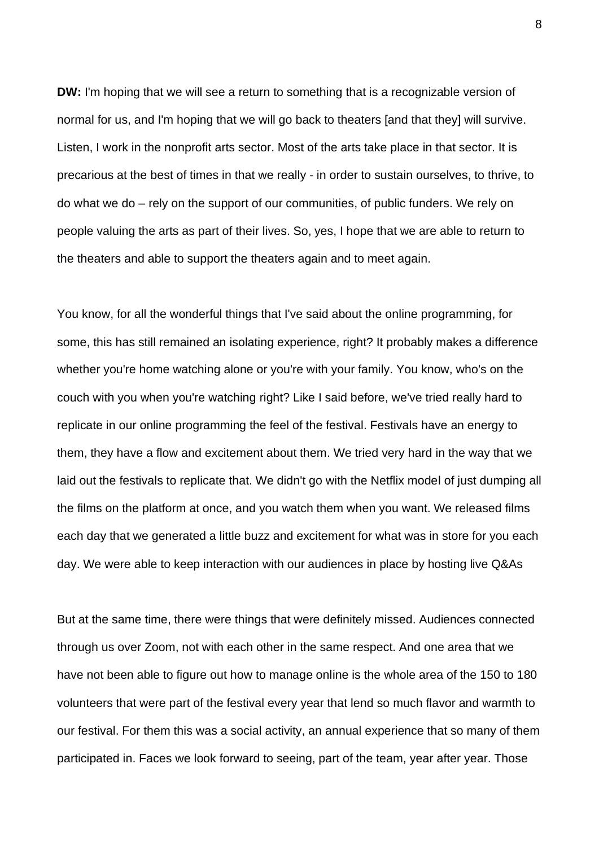**DW:** I'm hoping that we will see a return to something that is a recognizable version of normal for us, and I'm hoping that we will go back to theaters [and that they] will survive. Listen, I work in the nonprofit arts sector. Most of the arts take place in that sector. It is precarious at the best of times in that we really - in order to sustain ourselves, to thrive, to do what we do – rely on the support of our communities, of public funders. We rely on people valuing the arts as part of their lives. So, yes, I hope that we are able to return to the theaters and able to support the theaters again and to meet again.

You know, for all the wonderful things that I've said about the online programming, for some, this has still remained an isolating experience, right? It probably makes a difference whether you're home watching alone or you're with your family. You know, who's on the couch with you when you're watching right? Like I said before, we've tried really hard to replicate in our online programming the feel of the festival. Festivals have an energy to them, they have a flow and excitement about them. We tried very hard in the way that we laid out the festivals to replicate that. We didn't go with the Netflix model of just dumping all the films on the platform at once, and you watch them when you want. We released films each day that we generated a little buzz and excitement for what was in store for you each day. We were able to keep interaction with our audiences in place by hosting live Q&As

But at the same time, there were things that were definitely missed. Audiences connected through us over Zoom, not with each other in the same respect. And one area that we have not been able to figure out how to manage online is the whole area of the 150 to 180 volunteers that were part of the festival every year that lend so much flavor and warmth to our festival. For them this was a social activity, an annual experience that so many of them participated in. Faces we look forward to seeing, part of the team, year after year. Those

8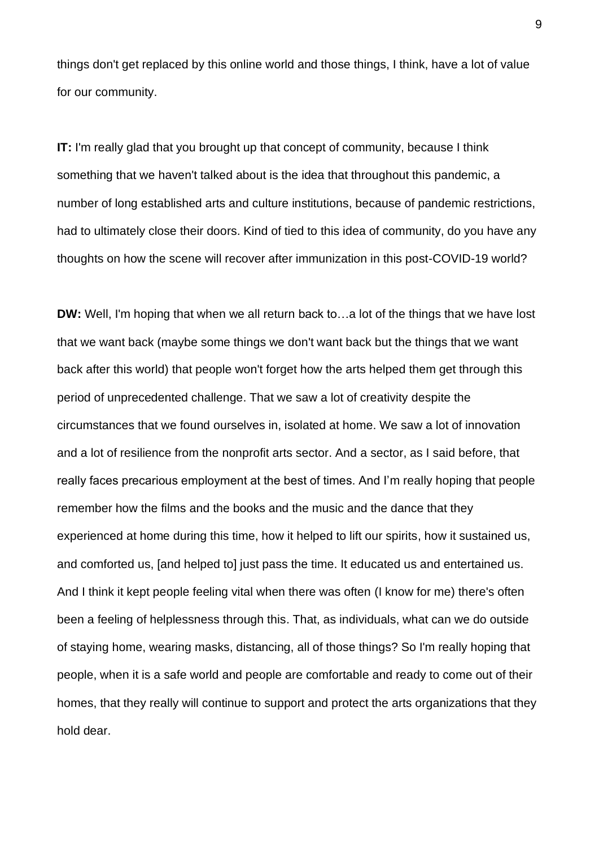things don't get replaced by this online world and those things, I think, have a lot of value for our community.

**IT:** I'm really glad that you brought up that concept of community, because I think something that we haven't talked about is the idea that throughout this pandemic, a number of long established arts and culture institutions, because of pandemic restrictions, had to ultimately close their doors. Kind of tied to this idea of community, do you have any thoughts on how the scene will recover after immunization in this post-COVID-19 world?

**DW:** Well, I'm hoping that when we all return back to…a lot of the things that we have lost that we want back (maybe some things we don't want back but the things that we want back after this world) that people won't forget how the arts helped them get through this period of unprecedented challenge. That we saw a lot of creativity despite the circumstances that we found ourselves in, isolated at home. We saw a lot of innovation and a lot of resilience from the nonprofit arts sector. And a sector, as I said before, that really faces precarious employment at the best of times. And I'm really hoping that people remember how the films and the books and the music and the dance that they experienced at home during this time, how it helped to lift our spirits, how it sustained us, and comforted us, [and helped to] just pass the time. It educated us and entertained us. And I think it kept people feeling vital when there was often (I know for me) there's often been a feeling of helplessness through this. That, as individuals, what can we do outside of staying home, wearing masks, distancing, all of those things? So I'm really hoping that people, when it is a safe world and people are comfortable and ready to come out of their homes, that they really will continue to support and protect the arts organizations that they hold dear.

9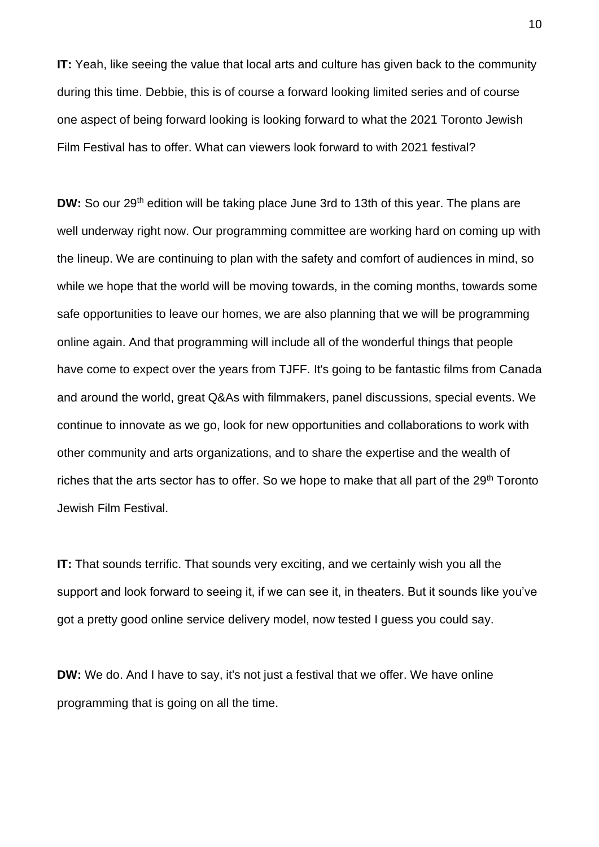**IT:** Yeah, like seeing the value that local arts and culture has given back to the community during this time. Debbie, this is of course a forward looking limited series and of course one aspect of being forward looking is looking forward to what the 2021 Toronto Jewish Film Festival has to offer. What can viewers look forward to with 2021 festival?

**DW:** So our 29<sup>th</sup> edition will be taking place June 3rd to 13th of this year. The plans are well underway right now. Our programming committee are working hard on coming up with the lineup. We are continuing to plan with the safety and comfort of audiences in mind, so while we hope that the world will be moving towards, in the coming months, towards some safe opportunities to leave our homes, we are also planning that we will be programming online again. And that programming will include all of the wonderful things that people have come to expect over the years from TJFF. It's going to be fantastic films from Canada and around the world, great Q&As with filmmakers, panel discussions, special events. We continue to innovate as we go, look for new opportunities and collaborations to work with other community and arts organizations, and to share the expertise and the wealth of riches that the arts sector has to offer. So we hope to make that all part of the 29<sup>th</sup> Toronto Jewish Film Festival.

**IT:** That sounds terrific. That sounds very exciting, and we certainly wish you all the support and look forward to seeing it, if we can see it, in theaters. But it sounds like you've got a pretty good online service delivery model, now tested I guess you could say.

**DW:** We do. And I have to say, it's not just a festival that we offer. We have online programming that is going on all the time.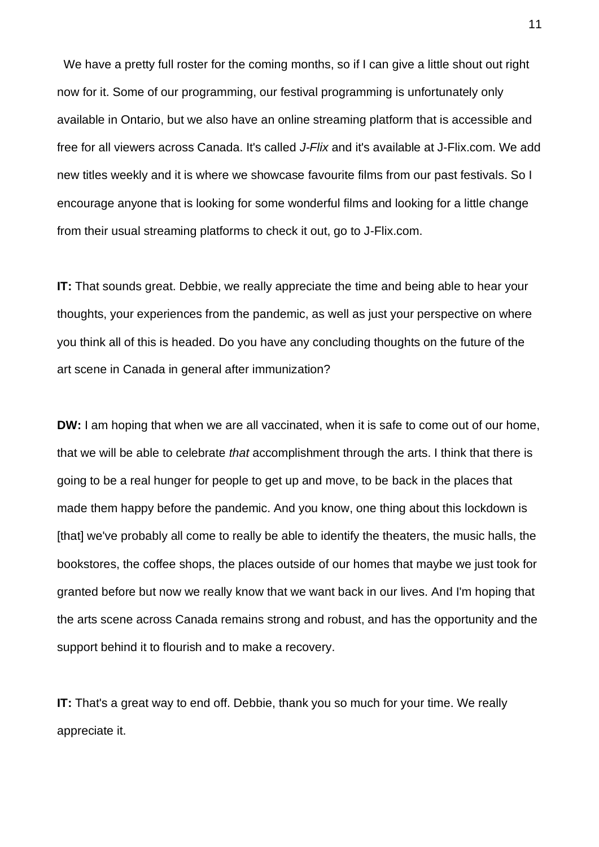We have a pretty full roster for the coming months, so if I can give a little shout out right now for it. Some of our programming, our festival programming is unfortunately only available in Ontario, but we also have an online streaming platform that is accessible and free for all viewers across Canada. It's called *J-Flix* and it's available at J-Flix.com. We add new titles weekly and it is where we showcase favourite films from our past festivals. So I encourage anyone that is looking for some wonderful films and looking for a little change from their usual streaming platforms to check it out, go to J-Flix.com.

**IT:** That sounds great. Debbie, we really appreciate the time and being able to hear your thoughts, your experiences from the pandemic, as well as just your perspective on where you think all of this is headed. Do you have any concluding thoughts on the future of the art scene in Canada in general after immunization?

**DW:** I am hoping that when we are all vaccinated, when it is safe to come out of our home, that we will be able to celebrate *that* accomplishment through the arts. I think that there is going to be a real hunger for people to get up and move, to be back in the places that made them happy before the pandemic. And you know, one thing about this lockdown is [that] we've probably all come to really be able to identify the theaters, the music halls, the bookstores, the coffee shops, the places outside of our homes that maybe we just took for granted before but now we really know that we want back in our lives. And I'm hoping that the arts scene across Canada remains strong and robust, and has the opportunity and the support behind it to flourish and to make a recovery.

**IT:** That's a great way to end off. Debbie, thank you so much for your time. We really appreciate it.